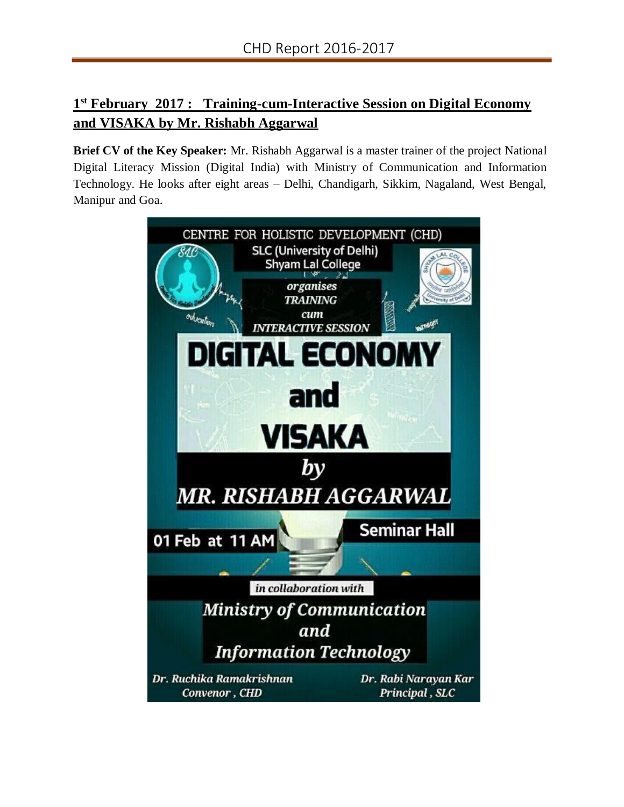## **1 st February 2017 : Training-cum-Interactive Session on Digital Economy and VISAKA by Mr. Rishabh Aggarwal**

**Brief CV of the Key Speaker:** Mr. Rishabh Aggarwal is a master trainer of the project National Digital Literacy Mission (Digital India) with Ministry of Communication and Information Technology. He looks after eight areas – Delhi, Chandigarh, Sikkim, Nagaland, West Bengal, Manipur and Goa.

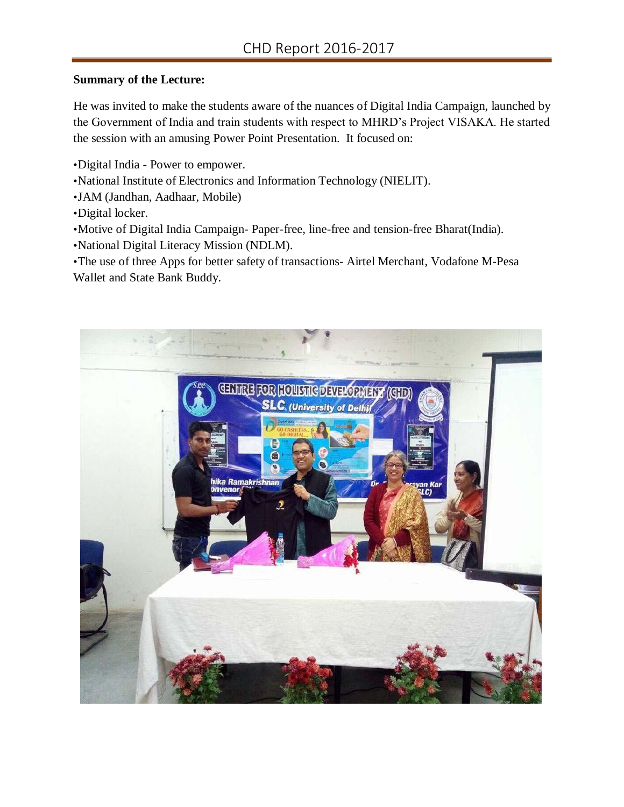## **Summary of the Lecture:**

He was invited to make the students aware of the nuances of Digital India Campaign, launched by the Government of India and train students with respect to MHRD's Project VISAKA. He started the session with an amusing Power Point Presentation. It focused on:

- •Digital India Power to empower.
- •National Institute of Electronics and Information Technology (NIELIT).
- •JAM (Jandhan, Aadhaar, Mobile)
- •Digital locker.
- •Motive of Digital India Campaign- Paper-free, line-free and tension-free Bharat(India).
- •National Digital Literacy Mission (NDLM).

•The use of three Apps for better safety of transactions- Airtel Merchant, Vodafone M-Pesa Wallet and State Bank Buddy.